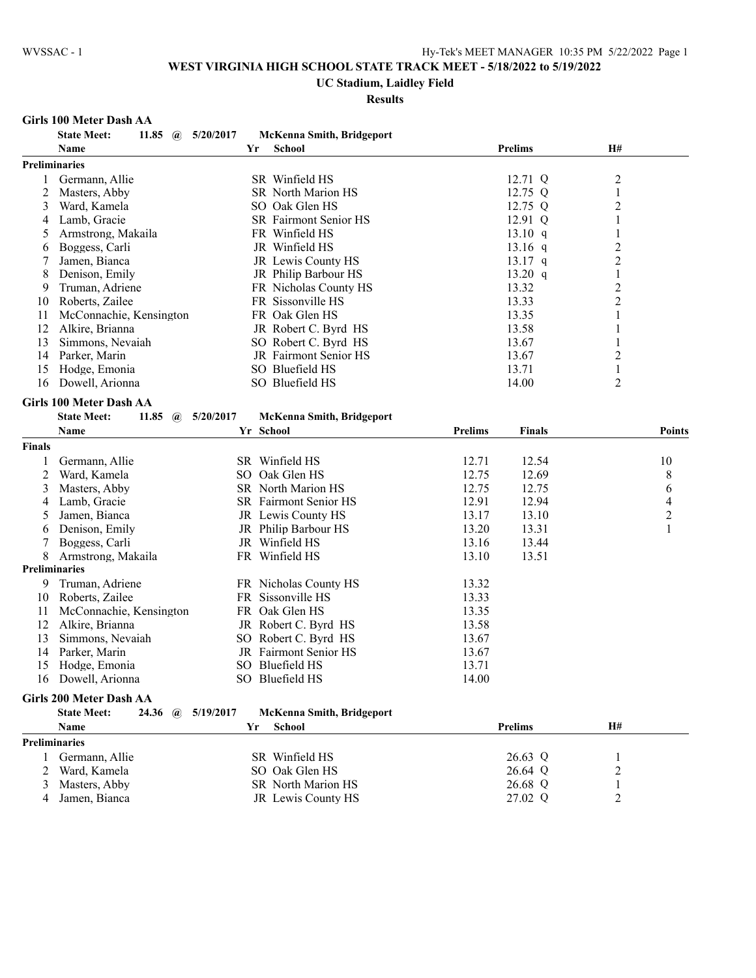#### **UC Stadium, Laidley Field**

#### **Results**

#### **Girls 100 Meter Dash AA**

|        | <b>State Meet:</b><br>11.85<br>$\left(\widehat{\boldsymbol{a}}\right)$ | 5/20/2017                 | <b>McKenna Smith, Bridgeport</b> |                    |                |                |
|--------|------------------------------------------------------------------------|---------------------------|----------------------------------|--------------------|----------------|----------------|
|        | Name                                                                   | Yr<br>School              |                                  | <b>Prelims</b>     | H#             |                |
|        | Preliminaries                                                          |                           |                                  |                    |                |                |
| 1      | Germann, Allie                                                         | SR Winfield HS            |                                  | 12.71 Q            | $\overline{c}$ |                |
| 2      | Masters, Abby                                                          | SR North Marion HS        |                                  | 12.75 Q            | $\mathbf{1}$   |                |
| 3      | Ward, Kamela                                                           | SO Oak Glen HS            |                                  | 12.75 Q            | $\overline{c}$ |                |
| 4      | Lamb, Gracie                                                           | SR Fairmont Senior HS     |                                  | 12.91 Q            | 1              |                |
| 5      | Armstrong, Makaila                                                     | FR Winfield HS            |                                  | 13.10 q            | 1              |                |
| 6      | Boggess, Carli                                                         | JR Winfield HS            |                                  | $13.16$ q          | $\overline{c}$ |                |
| 7      | Jamen, Bianca                                                          | JR Lewis County HS        |                                  | $13.17$ q          | $\overline{2}$ |                |
| 8      | Denison, Emily                                                         | JR Philip Barbour HS      |                                  | 13.20 $q$          | 1              |                |
| 9      | Truman, Adriene                                                        | FR Nicholas County HS     |                                  | 13.32              | $\overline{2}$ |                |
| 10     | Roberts, Zailee                                                        | FR Sissonville HS         |                                  | 13.33              | $\overline{2}$ |                |
| 11     | McConnachie, Kensington                                                | FR Oak Glen HS            |                                  | 13.35              | $\mathbf{1}$   |                |
| 12     | Alkire, Brianna                                                        | JR Robert C. Byrd HS      |                                  | 13.58              | $\mathbf{1}$   |                |
| 13     | Simmons, Nevaiah                                                       | SO Robert C. Byrd HS      |                                  | 13.67              | 1              |                |
| 14     | Parker, Marin                                                          | JR Fairmont Senior HS     |                                  | 13.67              | $\overline{c}$ |                |
| 15     | Hodge, Emonia                                                          | SO Bluefield HS           |                                  | 13.71              | 1              |                |
|        | Dowell, Arionna                                                        | SO Bluefield HS           |                                  |                    | 2              |                |
| 16     |                                                                        |                           |                                  | 14.00              |                |                |
|        | Girls 100 Meter Dash AA                                                |                           |                                  |                    |                |                |
|        | <b>State Meet:</b><br>11.85<br>$\mathbf{a}$                            | 5/20/2017                 | <b>McKenna Smith, Bridgeport</b> |                    |                |                |
|        | Name                                                                   | Yr School                 | <b>Prelims</b>                   | <b>Finals</b>      |                | Points         |
| Finals |                                                                        |                           |                                  |                    |                |                |
| 1      | Germann, Allie                                                         | SR Winfield HS            | 12.71                            | 12.54              |                | 10             |
| 2      | Ward, Kamela                                                           | SO Oak Glen HS            | 12.75                            | 12.69              |                | 8              |
| 3      | Masters, Abby                                                          | SR North Marion HS        | 12.75                            | 12.75              |                | 6              |
| 4      | Lamb, Gracie                                                           | SR Fairmont Senior HS     | 12.91                            | 12.94              |                | 4              |
| 5      | Jamen, Bianca                                                          | JR Lewis County HS        | 13.17                            | 13.10              |                | $\overline{c}$ |
| 6      | Denison, Emily                                                         | JR Philip Barbour HS      | 13.20                            | 13.31              |                | $\mathbf{1}$   |
|        | Boggess, Carli                                                         | JR Winfield HS            | 13.16                            | 13.44              |                |                |
| 8      | Armstrong, Makaila                                                     | FR Winfield HS            | 13.10                            | 13.51              |                |                |
|        | <b>Preliminaries</b>                                                   |                           |                                  |                    |                |                |
|        |                                                                        |                           |                                  |                    |                |                |
| 9      | Truman, Adriene                                                        | FR Nicholas County HS     | 13.32                            |                    |                |                |
| 10     | Roberts, Zailee                                                        | FR Sissonville HS         | 13.33                            |                    |                |                |
| 11     | McConnachie, Kensington                                                | FR Oak Glen HS            | 13.35                            |                    |                |                |
| 12     | Alkire, Brianna                                                        | JR Robert C. Byrd HS      | 13.58                            |                    |                |                |
| 13     | Simmons, Nevaiah                                                       | SO Robert C. Byrd HS      | 13.67                            |                    |                |                |
| 14     | Parker, Marin                                                          | JR Fairmont Senior HS     | 13.67                            |                    |                |                |
| 15     | Hodge, Emonia                                                          | SO Bluefield HS           | 13.71                            |                    |                |                |
| 16     | Dowell, Arionna                                                        | SO Bluefield HS           | 14.00                            |                    |                |                |
|        | <b>Girls 200 Meter Dash AA</b>                                         |                           |                                  |                    |                |                |
|        | 24.36<br><b>State Meet:</b><br>$\mathbf{a}$                            | 5/19/2017                 | <b>McKenna Smith, Bridgeport</b> |                    |                |                |
|        | Name                                                                   | Yr<br>School              |                                  | <b>Prelims</b>     | H#             |                |
|        | <b>Preliminaries</b>                                                   |                           |                                  |                    |                |                |
|        |                                                                        |                           |                                  |                    |                |                |
| 1      | Germann, Allie                                                         | SR Winfield HS            |                                  | 26.63 Q<br>26.64 Q | 1              |                |
| 2      | Ward, Kamela                                                           | SO Oak Glen HS            |                                  |                    | $\overline{c}$ |                |
| 3      | Masters, Abby                                                          | <b>SR</b> North Marion HS |                                  | 26.68 Q            | 1              |                |
| 4      | Jamen, Bianca                                                          | JR Lewis County HS        |                                  | 27.02 Q            | 2              |                |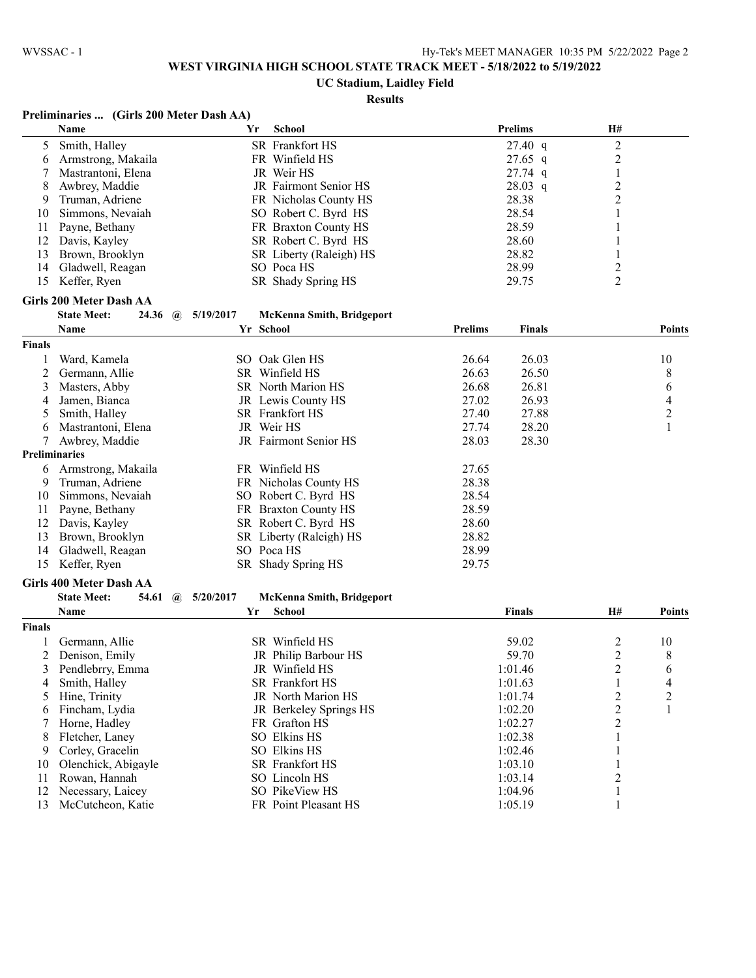#### **UC Stadium, Laidley Field**

|  |  | Preliminaries  (Girls 200 Meter Dash AA) |  |
|--|--|------------------------------------------|--|
|--|--|------------------------------------------|--|

|                      | Name                                        | Yr        | <b>School</b>                    |                | <b>Prelims</b>    | H#                      |                |
|----------------------|---------------------------------------------|-----------|----------------------------------|----------------|-------------------|-------------------------|----------------|
| 5                    | Smith, Halley                               |           | SR Frankfort HS                  |                | $27.40 \text{ q}$ | 2                       |                |
| 6                    | Armstrong, Makaila                          |           | FR Winfield HS                   |                | $27.65$ q         | $\overline{\mathbf{c}}$ |                |
| 7                    | Mastrantoni, Elena                          |           | JR Weir HS                       |                | 27.74 q           | $\,1$                   |                |
| 8                    | Awbrey, Maddie                              |           | JR Fairmont Senior HS            |                | 28.03 q           | $\overline{\mathbf{c}}$ |                |
| 9                    | Truman, Adriene                             |           | FR Nicholas County HS            |                | 28.38             | $\overline{c}$          |                |
| 10                   | Simmons, Nevaiah                            |           | SO Robert C. Byrd HS             |                | 28.54             | 1                       |                |
| 11                   | Payne, Bethany                              |           | FR Braxton County HS             |                | 28.59             |                         |                |
| 12                   | Davis, Kayley                               |           | SR Robert C. Byrd HS             |                | 28.60             | 1                       |                |
| 13                   | Brown, Brooklyn                             |           | SR Liberty (Raleigh) HS          |                | 28.82             | 1                       |                |
| 14                   | Gladwell, Reagan                            |           | SO Poca HS                       |                | 28.99             | $\overline{c}$          |                |
| 15                   | Keffer, Ryen                                |           | SR Shady Spring HS               |                | 29.75             | $\overline{2}$          |                |
|                      |                                             |           |                                  |                |                   |                         |                |
|                      | <b>Girls 200 Meter Dash AA</b>              |           |                                  |                |                   |                         |                |
|                      | <b>State Meet:</b><br>24.36<br>$\mathbf{a}$ | 5/19/2017 | <b>McKenna Smith, Bridgeport</b> |                |                   |                         |                |
|                      | Name                                        | Yr School |                                  | <b>Prelims</b> | <b>Finals</b>     |                         | <b>Points</b>  |
| <b>Finals</b>        |                                             |           |                                  |                |                   |                         |                |
| 1                    | Ward, Kamela                                |           | SO Oak Glen HS                   | 26.64          | 26.03             |                         | 10             |
| 2                    | Germann, Allie                              |           | SR Winfield HS                   | 26.63          | 26.50             |                         | 8              |
| 3                    | Masters, Abby                               |           | SR North Marion HS               | 26.68          | 26.81             |                         | 6              |
| 4                    | Jamen, Bianca                               |           | JR Lewis County HS               | 27.02          | 26.93             |                         | 4              |
| 5                    | Smith, Halley                               |           | <b>SR</b> Frankfort HS           | 27.40          | 27.88             |                         | $\overline{c}$ |
| 6                    | Mastrantoni, Elena                          |           | JR Weir HS                       | 27.74          | 28.20             |                         | 1              |
| 7                    | Awbrey, Maddie                              |           | JR Fairmont Senior HS            | 28.03          | 28.30             |                         |                |
| <b>Preliminaries</b> |                                             |           |                                  |                |                   |                         |                |
| 6                    | Armstrong, Makaila                          |           | FR Winfield HS                   | 27.65          |                   |                         |                |
| 9                    | Truman, Adriene                             |           | FR Nicholas County HS            | 28.38          |                   |                         |                |
| 10                   | Simmons, Nevaiah                            |           | SO Robert C. Byrd HS             | 28.54          |                   |                         |                |
| 11                   | Payne, Bethany                              |           | FR Braxton County HS             | 28.59          |                   |                         |                |
| 12                   | Davis, Kayley                               |           | SR Robert C. Byrd HS             | 28.60          |                   |                         |                |
|                      |                                             |           |                                  |                |                   |                         |                |
| 13                   | Brown, Brooklyn                             |           | SR Liberty (Raleigh) HS          | 28.82          |                   |                         |                |
| 14                   | Gladwell, Reagan                            |           | SO Poca HS                       | 28.99          |                   |                         |                |
| 15                   | Keffer, Ryen                                |           | SR Shady Spring HS               | 29.75          |                   |                         |                |
|                      | <b>Girls 400 Meter Dash AA</b>              |           |                                  |                |                   |                         |                |
|                      | <b>State Meet:</b><br>54.61<br>$\mathbf{a}$ | 5/20/2017 | <b>McKenna Smith, Bridgeport</b> |                |                   |                         |                |
|                      | Name                                        | Yr        | <b>School</b>                    |                | <b>Finals</b>     | Н#                      | <b>Points</b>  |
| <b>Finals</b>        |                                             |           |                                  |                |                   |                         |                |
| 1                    | Germann, Allie                              |           | SR Winfield HS                   |                | 59.02             | 2                       | 10             |
| 2                    | Denison, Emily                              |           | JR Philip Barbour HS             |                | 59.70             | $\overline{\mathbf{c}}$ | 8              |
| 3                    | Pendlebrry, Emma                            |           | JR Winfield HS                   |                | 1:01.46           | $\overline{2}$          | 6              |
| 4                    | Smith, Halley                               |           | SR Frankfort HS                  |                | 1:01.63           | $\mathbf{1}$            | 4              |
| 5                    | Hine, Trinity                               |           | JR North Marion HS               |                | 1:01.74           | $\overline{\mathbf{c}}$ | 2              |
| 6                    | Fincham, Lydia                              |           | JR Berkeley Springs HS           |                | 1:02.20           | $\overline{\mathbf{c}}$ | 1              |
| 7                    | Horne, Hadley                               |           | FR Grafton HS                    |                | 1:02.27           | $\overline{c}$          |                |
| 8                    | Fletcher, Laney                             |           | SO Elkins HS                     |                | 1:02.38           | 1                       |                |
| 9                    | Corley, Gracelin                            |           | SO Elkins HS                     |                | 1:02.46           | 1                       |                |
| 10                   | Olenchick, Abigayle                         |           | SR Frankfort HS                  |                | 1:03.10           |                         |                |
| 11                   | Rowan, Hannah                               |           | SO Lincoln HS                    |                | 1:03.14           | $\overline{c}$          |                |
| 12                   | Necessary, Laicey                           |           | SO PikeView HS                   |                | 1:04.96           | 1                       |                |
| 13                   | McCutcheon, Katie                           |           | FR Point Pleasant HS             |                | 1:05.19           | 1                       |                |
|                      |                                             |           |                                  |                |                   |                         |                |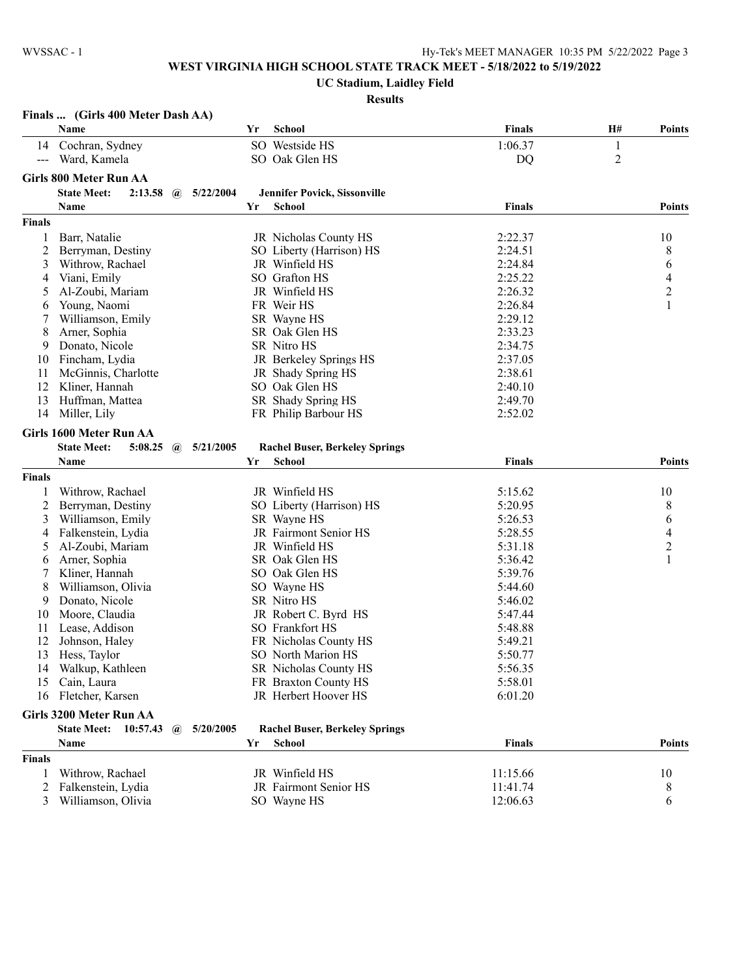**UC Stadium, Laidley Field**

|                     | Finals  (Girls 400 Meter Dash AA)                          |    |                                        |               |                  |                          |
|---------------------|------------------------------------------------------------|----|----------------------------------------|---------------|------------------|--------------------------|
|                     | Name                                                       | Yr | <b>School</b>                          | <b>Finals</b> | H#               | <b>Points</b>            |
| 14                  | Cochran, Sydney                                            |    | SO Westside HS                         | 1:06.37       | $\mathbf{1}$     |                          |
| $\qquad \qquad - -$ | Ward, Kamela                                               |    | SO Oak Glen HS                         | DQ            | $\boldsymbol{2}$ |                          |
|                     | <b>Girls 800 Meter Run AA</b>                              |    |                                        |               |                  |                          |
|                     | <b>State Meet:</b><br>2:13.58<br>5/22/2004                 |    |                                        |               |                  |                          |
|                     | $\mathbf{a}$<br>Name                                       | Yr | Jennifer Povick, Sissonville<br>School | <b>Finals</b> |                  | <b>Points</b>            |
|                     |                                                            |    |                                        |               |                  |                          |
| <b>Finals</b>       |                                                            |    |                                        |               |                  |                          |
| 1                   | Barr, Natalie                                              |    | JR Nicholas County HS                  | 2:22.37       |                  | 10                       |
| 2                   | Berryman, Destiny                                          |    | SO Liberty (Harrison) HS               | 2:24.51       |                  | 8                        |
| 3                   | Withrow, Rachael                                           |    | JR Winfield HS                         | 2:24.84       |                  | 6                        |
| 4                   | Viani, Emily                                               |    | SO Grafton HS                          | 2:25.22       |                  | $\overline{4}$           |
| 5                   | Al-Zoubi, Mariam                                           |    | JR Winfield HS                         | 2:26.32       |                  | $\overline{2}$           |
| 6                   | Young, Naomi                                               |    | FR Weir HS                             | 2:26.84       |                  | $\mathbf{1}$             |
| 7                   | Williamson, Emily                                          |    | SR Wayne HS                            | 2:29.12       |                  |                          |
| 8                   | Arner, Sophia                                              |    | SR Oak Glen HS                         | 2:33.23       |                  |                          |
| 9                   | Donato, Nicole                                             |    | SR Nitro HS                            | 2:34.75       |                  |                          |
| 10                  | Fincham, Lydia                                             |    | JR Berkeley Springs HS                 | 2:37.05       |                  |                          |
| 11                  | McGinnis, Charlotte                                        |    | JR Shady Spring HS                     | 2:38.61       |                  |                          |
| 12                  | Kliner, Hannah                                             |    | SO Oak Glen HS                         | 2:40.10       |                  |                          |
| 13                  | Huffman, Mattea                                            |    | SR Shady Spring HS                     | 2:49.70       |                  |                          |
| 14                  | Miller, Lily                                               |    | FR Philip Barbour HS                   | 2:52.02       |                  |                          |
|                     | Girls 1600 Meter Run AA                                    |    |                                        |               |                  |                          |
|                     | <b>State Meet:</b><br>5:08.25<br>5/21/2005<br>$\mathbf{a}$ |    | <b>Rachel Buser, Berkeley Springs</b>  |               |                  |                          |
|                     | Name                                                       | Yr | School                                 | <b>Finals</b> |                  | <b>Points</b>            |
| <b>Finals</b>       |                                                            |    |                                        |               |                  |                          |
| 1                   | Withrow, Rachael                                           |    | JR Winfield HS                         | 5:15.62       |                  | 10                       |
| 2                   | Berryman, Destiny                                          |    | SO Liberty (Harrison) HS               | 5:20.95       |                  | 8                        |
| 3                   | Williamson, Emily                                          |    | SR Wayne HS                            | 5:26.53       |                  | 6                        |
| 4                   |                                                            |    | JR Fairmont Senior HS                  | 5:28.55       |                  | $\overline{\mathcal{L}}$ |
|                     | Falkenstein, Lydia                                         |    | JR Winfield HS                         | 5:31.18       |                  | $\overline{c}$           |
| 5                   | Al-Zoubi, Mariam<br>Arner, Sophia                          |    | SR Oak Glen HS                         | 5:36.42       |                  | $\mathbf{1}$             |
| 6<br>7              | Kliner, Hannah                                             |    | SO Oak Glen HS                         | 5:39.76       |                  |                          |
|                     |                                                            |    |                                        |               |                  |                          |
| 8                   | Williamson, Olivia                                         |    | SO Wayne HS                            | 5:44.60       |                  |                          |
| 9                   | Donato, Nicole                                             |    | SR Nitro HS                            | 5:46.02       |                  |                          |
| 10                  | Moore, Claudia                                             |    | JR Robert C. Byrd HS                   | 5:47.44       |                  |                          |
| 11                  | Lease, Addison                                             |    | SO Frankfort HS                        | 5:48.88       |                  |                          |
| 12                  | Johnson, Haley                                             |    | FR Nicholas County HS                  | 5:49.21       |                  |                          |
| 13                  | Hess, Taylor                                               |    | SO North Marion HS                     | 5:50.77       |                  |                          |
|                     | 14 Walkup, Kathleen                                        |    | SR Nicholas County HS                  | 5:56.35       |                  |                          |
| 15                  | Cain, Laura                                                |    | FR Braxton County HS                   | 5:58.01       |                  |                          |
| 16                  | Fletcher, Karsen                                           |    | JR Herbert Hoover HS                   | 6:01.20       |                  |                          |
|                     | Girls 3200 Meter Run AA                                    |    |                                        |               |                  |                          |
|                     | 5/20/2005<br><b>State Meet: 10:57.43</b><br>$\omega$       |    | <b>Rachel Buser, Berkeley Springs</b>  |               |                  |                          |
|                     | Name                                                       | Yr | School                                 | <b>Finals</b> |                  | <b>Points</b>            |
| <b>Finals</b>       |                                                            |    |                                        |               |                  |                          |
| 1                   | Withrow, Rachael                                           |    | JR Winfield HS                         | 11:15.66      |                  | 10                       |
| 2                   | Falkenstein, Lydia                                         |    | JR Fairmont Senior HS                  | 11:41.74      |                  | 8                        |
| 3                   | Williamson, Olivia                                         |    | SO Wayne HS                            | 12:06.63      |                  | 6                        |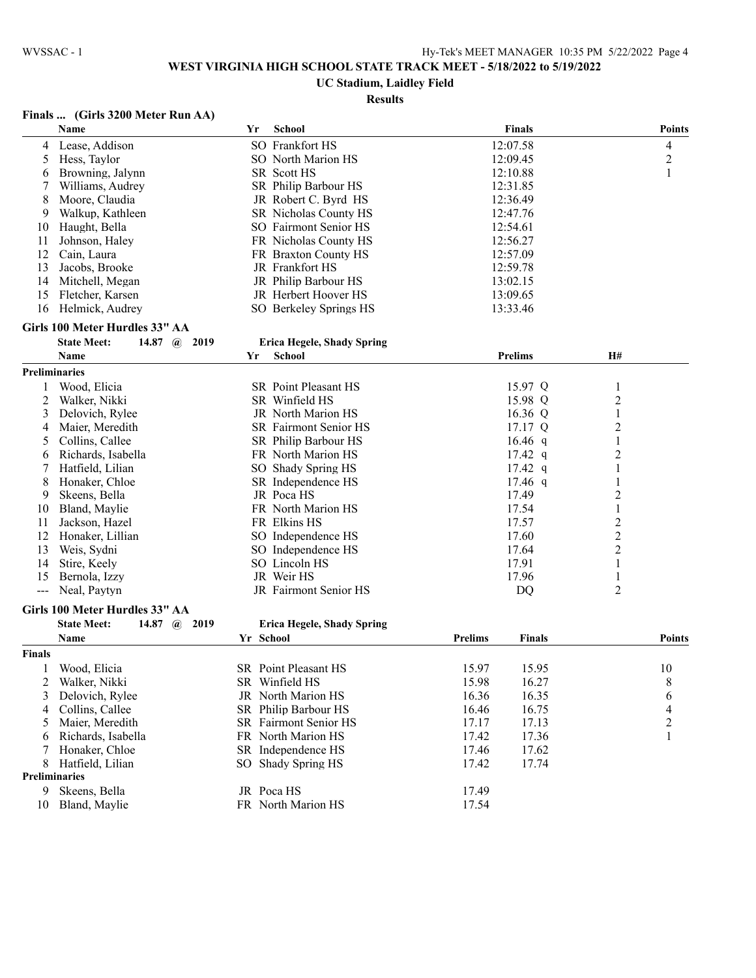# **UC Stadium, Laidley Field**

# **Results**

## **Finals ... (Girls 3200 Meter Run AA)**

|        | Name                                         | Yr        | <b>School</b>                     |                | <b>Finals</b>  |                         | <b>Points</b>           |
|--------|----------------------------------------------|-----------|-----------------------------------|----------------|----------------|-------------------------|-------------------------|
| 4      | Lease, Addison                               |           | SO Frankfort HS                   |                | 12:07.58       |                         | 4                       |
| 5      | Hess, Taylor                                 |           | SO North Marion HS                |                | 12:09.45       |                         | $\overline{c}$          |
| 6      | Browning, Jalynn                             |           | SR Scott HS                       |                | 12:10.88       |                         | 1                       |
| 7      | Williams, Audrey                             |           | SR Philip Barbour HS              |                | 12:31.85       |                         |                         |
| 8      | Moore, Claudia                               |           | JR Robert C. Byrd HS              |                | 12:36.49       |                         |                         |
| 9      | Walkup, Kathleen                             |           | SR Nicholas County HS             |                | 12:47.76       |                         |                         |
| 10     | Haught, Bella                                |           | SO Fairmont Senior HS             |                | 12:54.61       |                         |                         |
| 11     | Johnson, Haley                               |           | FR Nicholas County HS             |                | 12:56.27       |                         |                         |
| 12     | Cain, Laura                                  |           | FR Braxton County HS              |                | 12:57.09       |                         |                         |
| 13     | Jacobs, Brooke                               |           | JR Frankfort HS                   |                | 12:59.78       |                         |                         |
| 14     | Mitchell, Megan                              |           | JR Philip Barbour HS              |                | 13:02.15       |                         |                         |
| 15     | Fletcher, Karsen                             |           | JR Herbert Hoover HS              |                | 13:09.65       |                         |                         |
| 16     | Helmick, Audrey                              |           | SO Berkeley Springs HS            |                | 13:33.46       |                         |                         |
|        | Girls 100 Meter Hurdles 33" AA               |           |                                   |                |                |                         |                         |
|        | <b>State Meet:</b><br>14.87 $\omega$ 2019    |           | <b>Erica Hegele, Shady Spring</b> |                |                |                         |                         |
|        | Name                                         | Yr        | <b>School</b>                     |                | <b>Prelims</b> | Н#                      |                         |
|        | <b>Preliminaries</b>                         |           |                                   |                |                |                         |                         |
|        | Wood, Elicia                                 |           | SR Point Pleasant HS              |                | 15.97 Q        | 1                       |                         |
| 2      | Walker, Nikki                                |           | SR Winfield HS                    |                | 15.98 Q        | 2                       |                         |
| 3      | Delovich, Rylee                              |           | JR North Marion HS                |                | 16.36 Q        | $\mathbf{1}$            |                         |
| 4      | Maier, Meredith                              |           | SR Fairmont Senior HS             |                | 17.17 Q        | $\overline{\mathbf{c}}$ |                         |
| 5      | Collins, Callee                              |           | SR Philip Barbour HS              |                | 16.46 $q$      | 1                       |                         |
| 6      | Richards, Isabella                           |           | FR North Marion HS                |                | $17.42$ q      | 2                       |                         |
| 7      | Hatfield, Lilian                             |           | SO Shady Spring HS                |                | $17.42$ q      | 1                       |                         |
| 8      | Honaker, Chloe                               |           | SR Independence HS                |                | 17.46 q        | 1                       |                         |
| 9      | Skeens, Bella                                |           | JR Poca HS                        |                | 17.49          | $\overline{\mathbf{c}}$ |                         |
| 10     | Bland, Maylie                                |           | FR North Marion HS                |                | 17.54          | $\mathbf{1}$            |                         |
| 11     | Jackson, Hazel                               |           | FR Elkins HS                      |                | 17.57          | $\overline{\mathbf{c}}$ |                         |
| 12     | Honaker, Lillian                             |           | SO Independence HS                |                | 17.60          | $\overline{\mathbf{c}}$ |                         |
| 13     | Weis, Sydni                                  |           | SO Independence HS                |                | 17.64          | $\overline{\mathbf{c}}$ |                         |
| 14     | Stire, Keely                                 |           | SO Lincoln HS                     |                | 17.91          | 1                       |                         |
| 15     | Bernola, Izzy                                |           | JR Weir HS                        |                | 17.96          | $\mathbf{1}$            |                         |
| $---$  | Neal, Paytyn                                 |           | JR Fairmont Senior HS             |                | <b>DQ</b>      | 2                       |                         |
|        |                                              |           |                                   |                |                |                         |                         |
|        | Girls 100 Meter Hurdles 33" AA               |           |                                   |                |                |                         |                         |
|        | <b>State Meet:</b><br>14.87 $\omega$<br>2019 |           | <b>Erica Hegele, Shady Spring</b> |                |                |                         |                         |
|        | Name                                         | Yr School |                                   | <b>Prelims</b> | <b>Finals</b>  |                         | <b>Points</b>           |
| Finals |                                              |           |                                   |                |                |                         |                         |
|        | Wood, Elicia                                 |           | SR Point Pleasant HS              | 15.97          | 15.95          |                         | 10                      |
| 2      | Walker, Nikki                                |           | SR Winfield HS                    | 15.98          | 16.27          |                         | 8                       |
| 3      | Delovich, Rylee                              |           | JR North Marion HS                | 16.36          | 16.35          |                         | 6                       |
| 4      | Collins, Callee                              |           | SR Philip Barbour HS              | 16.46          | 16.75          |                         | 4                       |
| 5      | Maier, Meredith                              |           | SR Fairmont Senior HS             | 17.17          | 17.13          |                         | $\overline{\mathbf{c}}$ |
| 6      | Richards, Isabella                           |           | FR North Marion HS                | 17.42          | 17.36          |                         |                         |
| 7      | Honaker, Chloe                               |           | SR Independence HS                | 17.46          | 17.62          |                         |                         |
| 8      | Hatfield, Lilian                             |           | SO Shady Spring HS                | 17.42          | 17.74          |                         |                         |
|        | <b>Preliminaries</b>                         |           |                                   |                |                |                         |                         |
| 9      | Skeens, Bella                                |           | JR Poca HS                        | 17.49          |                |                         |                         |
|        | 10 Bland, Maylie                             |           | FR North Marion HS                | 17.54          |                |                         |                         |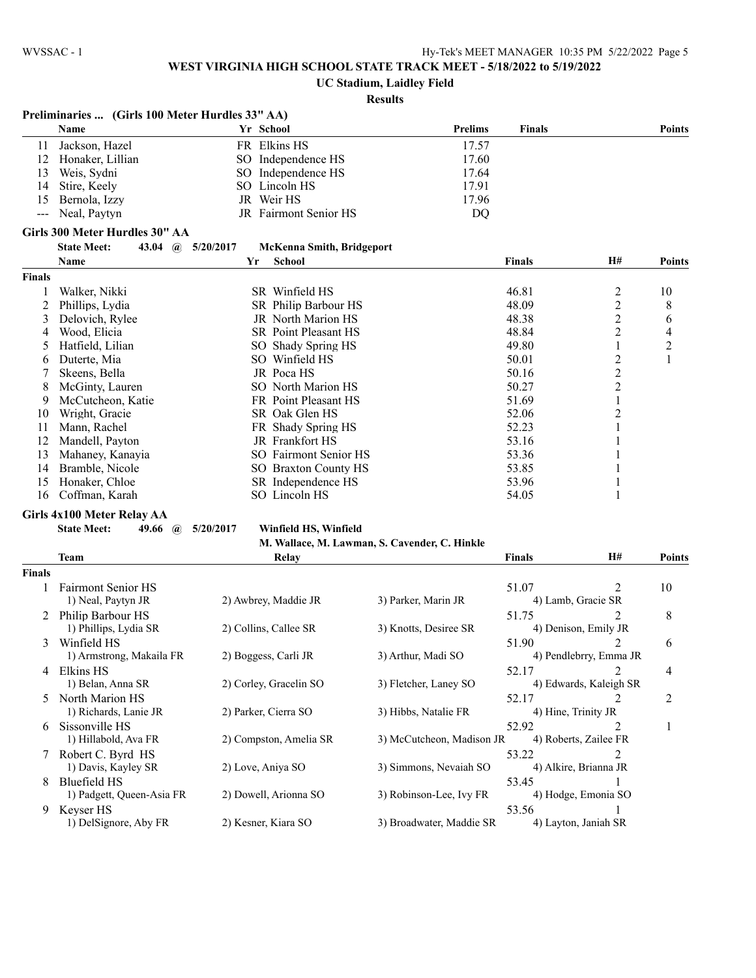**UC Stadium, Laidley Field**

|               | Preliminaries  (Girls 100 Meter Hurdles 33" AA) |                                               |                           |                                  |                |
|---------------|-------------------------------------------------|-----------------------------------------------|---------------------------|----------------------------------|----------------|
|               | Name                                            | Yr School                                     | <b>Prelims</b>            | <b>Finals</b>                    | <b>Points</b>  |
| 11            | Jackson, Hazel                                  | FR Elkins HS                                  | 17.57                     |                                  |                |
| 12            | Honaker, Lillian                                | SO Independence HS                            | 17.60                     |                                  |                |
| 13            | Weis, Sydni                                     | SO Independence HS                            | 17.64                     |                                  |                |
| 14            | Stire, Keely                                    | SO Lincoln HS                                 | 17.91                     |                                  |                |
| 15            | Bernola, Izzy                                   | JR Weir HS                                    | 17.96                     |                                  |                |
| $---$         | Neal, Paytyn                                    | JR Fairmont Senior HS                         | DQ                        |                                  |                |
|               | Girls 300 Meter Hurdles 30" AA                  |                                               |                           |                                  |                |
|               | <b>State Meet:</b><br>43.04<br>$\mathbf{a}$     | 5/20/2017<br><b>McKenna Smith, Bridgeport</b> |                           |                                  |                |
|               | Name                                            | School<br>Yr                                  |                           | H#<br>Finals                     | <b>Points</b>  |
| <b>Finals</b> |                                                 |                                               |                           |                                  |                |
| 1             | Walker, Nikki                                   | SR Winfield HS                                |                           | 46.81<br>2                       | 10             |
| 2             | Phillips, Lydia                                 | SR Philip Barbour HS                          |                           | $\overline{c}$<br>48.09          | 8              |
| 3             | Delovich, Rylee                                 | JR North Marion HS                            |                           | $\overline{\mathbf{c}}$<br>48.38 | 6              |
| 4             | Wood, Elicia                                    | SR Point Pleasant HS                          |                           | 2<br>48.84                       | 4              |
| 5             | Hatfield, Lilian                                | SO Shady Spring HS                            |                           | 49.80<br>1                       | $\overline{c}$ |
| 6             | Duterte, Mia                                    | SO Winfield HS                                |                           | $\overline{\mathbf{c}}$<br>50.01 | $\,1\,$        |
| 7             | Skeens, Bella                                   | JR Poca HS                                    |                           | $\overline{c}$<br>50.16          |                |
| 8             | McGinty, Lauren                                 | SO North Marion HS                            |                           | $\overline{c}$<br>50.27          |                |
| 9             | McCutcheon, Katie                               | FR Point Pleasant HS                          |                           | 51.69<br>1                       |                |
| 10            | Wright, Gracie                                  | SR Oak Glen HS                                |                           | 2<br>52.06                       |                |
| 11            | Mann, Rachel                                    | FR Shady Spring HS                            |                           | 52.23<br>1                       |                |
| 12            | Mandell, Payton                                 | JR Frankfort HS                               |                           | 53.16                            |                |
| 13            | Mahaney, Kanayia                                | SO Fairmont Senior HS                         |                           | 53.36<br>1                       |                |
| 14            | Bramble, Nicole                                 | SO Braxton County HS                          |                           | 53.85                            |                |
| 15            | Honaker, Chloe                                  | SR Independence HS                            |                           | 53.96                            |                |
| 16            | Coffman, Karah                                  | SO Lincoln HS                                 |                           | 54.05<br>1                       |                |
|               | Girls 4x100 Meter Relay AA                      |                                               |                           |                                  |                |
|               | <b>State Meet:</b><br>49.66 $\omega$            | 5/20/2017<br>Winfield HS, Winfield            |                           |                                  |                |
|               |                                                 | M. Wallace, M. Lawman, S. Cavender, C. Hinkle |                           |                                  |                |
|               | <b>Team</b>                                     | Relay                                         |                           | Finals<br>H#                     | <b>Points</b>  |
| Finals        |                                                 |                                               |                           |                                  |                |
| 1             | <b>Fairmont Senior HS</b>                       |                                               |                           | 51.07<br>2                       | 10             |
|               | 1) Neal, Paytyn JR                              | 2) Awbrey, Maddie JR                          | 3) Parker, Marin JR       | 4) Lamb, Gracie SR               |                |
|               | 2 Philip Barbour HS                             |                                               |                           | 51.75<br>2                       | 8              |
|               | 1) Phillips, Lydia SR                           | 2) Collins, Callee SR                         | 3) Knotts, Desiree SR     | 4) Denison, Emily JR             |                |
|               | Winfield HS                                     |                                               |                           | 51.90<br>2                       | 6              |
| 3             | 1) Armstrong, Makaila FR                        | 2) Boggess, Carli JR                          | 3) Arthur, Madi SO        | 4) Pendlebrry, Emma JR           |                |
|               |                                                 |                                               |                           |                                  |                |
|               | 4 Elkins HS                                     | 2) Corley, Gracelin SO                        | 3) Fletcher, Laney SO     | 2<br>52.17                       | 4              |
|               | 1) Belan, Anna SR                               |                                               |                           | 4) Edwards, Kaleigh SR           |                |
|               | 5 North Marion HS                               |                                               |                           | 52.17<br>2                       | 2              |
|               | 1) Richards, Lanie JR                           | 2) Parker, Cierra SO                          | 3) Hibbs, Natalie FR      | 4) Hine, Trinity JR              |                |
|               | 6 Sissonville HS                                |                                               |                           | 52.92<br>2                       | 1              |
|               | 1) Hillabold, Ava FR                            | 2) Compston, Amelia SR                        | 3) McCutcheon, Madison JR | 4) Roberts, Zailee FR            |                |
|               | Robert C. Byrd HS                               |                                               |                           | 53.22<br>2                       |                |
|               | 1) Davis, Kayley SR                             | 2) Love, Aniya SO                             | 3) Simmons, Nevaiah SO    | 4) Alkire, Brianna JR            |                |
| 8             | Bluefield HS                                    |                                               |                           | 53.45                            |                |
|               | 1) Padgett, Queen-Asia FR                       | 2) Dowell, Arionna SO                         | 3) Robinson-Lee, Ivy FR   | 4) Hodge, Emonia SO              |                |
| 9.            | Keyser HS                                       |                                               |                           | 53.56<br>1                       |                |
|               | 1) DelSignore, Aby FR                           | 2) Kesner, Kiara SO                           | 3) Broadwater, Maddie SR  | 4) Layton, Janiah SR             |                |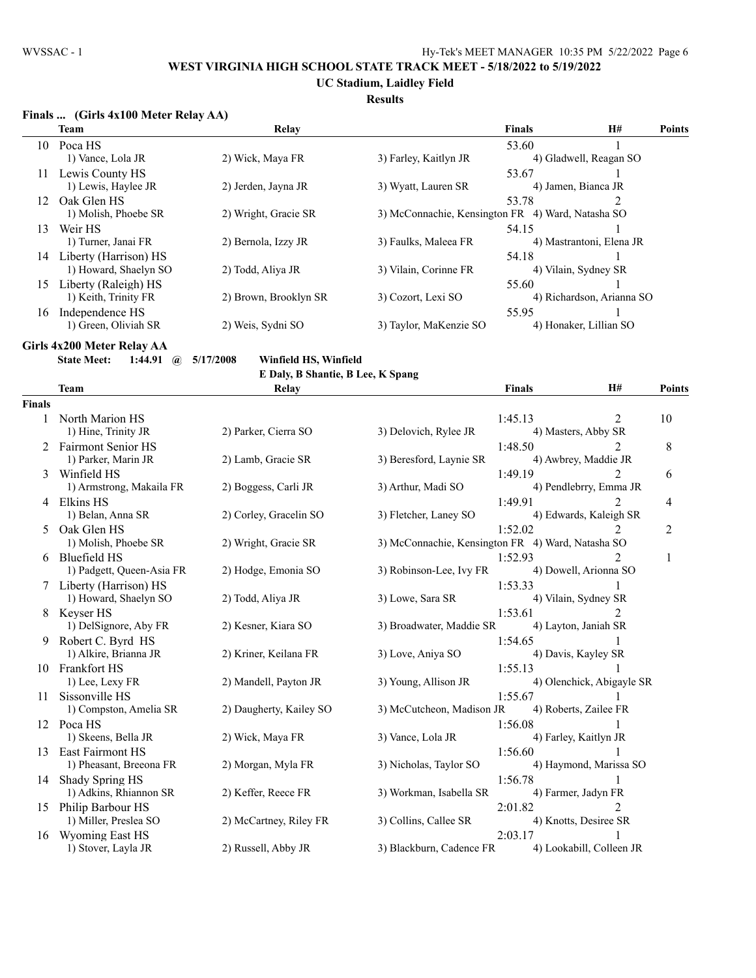**UC Stadium, Laidley Field**

### **Results**

### **Finals ... (Girls 4x100 Meter Relay AA)**

|    | <b>Team</b>           | Relay                 |                                                   | <b>Finals</b> | <b>H#</b>                 | <b>Points</b> |
|----|-----------------------|-----------------------|---------------------------------------------------|---------------|---------------------------|---------------|
| 10 | Poca HS               |                       |                                                   | 53.60         |                           |               |
|    | 1) Vance, Lola JR     | 2) Wick, Maya FR      | 3) Farley, Kaitlyn JR                             |               | 4) Gladwell, Reagan SO    |               |
| 11 | Lewis County HS       |                       |                                                   | 53.67         |                           |               |
|    | 1) Lewis, Haylee JR   | 2) Jerden, Jayna JR   | 3) Wyatt, Lauren SR                               |               | 4) Jamen, Bianca JR       |               |
| 12 | Oak Glen HS           |                       |                                                   | 53.78         | 2                         |               |
|    | 1) Molish, Phoebe SR  | 2) Wright, Gracie SR  | 3) McConnachie, Kensington FR 4) Ward, Natasha SO |               |                           |               |
| 13 | Weir HS               |                       |                                                   | 54.15         |                           |               |
|    | 1) Turner, Janai FR   | 2) Bernola, Izzy JR   | 3) Faulks, Maleea FR                              |               | 4) Mastrantoni, Elena JR  |               |
| 14 | Liberty (Harrison) HS |                       |                                                   | 54.18         |                           |               |
|    | 1) Howard, Shaelyn SO | 2) Todd, Aliya JR     | 3) Vilain, Corinne FR                             |               | 4) Vilain, Sydney SR      |               |
| 15 | Liberty (Raleigh) HS  |                       |                                                   | 55.60         |                           |               |
|    | 1) Keith, Trinity FR  | 2) Brown, Brooklyn SR | 3) Cozort, Lexi SO                                |               | 4) Richardson, Arianna SO |               |
| 16 | Independence HS       |                       |                                                   | 55.95         |                           |               |
|    | 1) Green, Oliviah SR  | 2) Weis, Sydni SO     | 3) Taylor, MaKenzie SO                            |               | 4) Honaker, Lillian SO    |               |

**Girls 4x200 Meter Relay AA**

**State Meet: 1:44.91 @ 5/17/2008 Winfield HS, Winfield**

**E Daly, B Shantie, B Lee, K Spang**

|               | <b>Team</b>               | Relay                   |                                                   | <b>Finals</b> | H#                        | Points |
|---------------|---------------------------|-------------------------|---------------------------------------------------|---------------|---------------------------|--------|
| <b>Finals</b> |                           |                         |                                                   |               |                           |        |
| 1             | North Marion HS           |                         |                                                   | 1:45.13       | 2                         | 10     |
|               | 1) Hine, Trinity JR       | 2) Parker, Cierra SO    | 3) Delovich, Rylee JR                             |               | 4) Masters, Abby SR       |        |
| 2             | <b>Fairmont Senior HS</b> |                         |                                                   | 1:48.50       | 2                         | 8      |
|               | 1) Parker, Marin JR       | 2) Lamb, Gracie SR      | 3) Beresford, Laynie SR                           |               | 4) Awbrey, Maddie JR      |        |
| 3             | Winfield HS               |                         |                                                   | 1:49.19       | 2                         | 6      |
|               | 1) Armstrong, Makaila FR  | 2) Boggess, Carli JR    | 3) Arthur, Madi SO                                |               | 4) Pendlebrry, Emma JR    |        |
|               | 4 Elkins HS               |                         |                                                   | 1:49.91       | $\mathfrak{D}$            | 4      |
|               | 1) Belan, Anna SR         | 2) Corley, Gracelin SO  | 3) Fletcher, Laney SO                             |               | 4) Edwards, Kaleigh SR    |        |
|               | Oak Glen HS               |                         |                                                   | 1:52.02       |                           | 2      |
|               | 1) Molish, Phoebe SR      | 2) Wright, Gracie SR    | 3) McConnachie, Kensington FR 4) Ward, Natasha SO |               |                           |        |
|               | 6 Bluefield HS            |                         |                                                   | 1:52.93       | $\mathfrak{D}$            | 1      |
|               | 1) Padgett, Queen-Asia FR | 2) Hodge, Emonia SO     | 3) Robinson-Lee, Ivy FR                           |               | 4) Dowell, Arionna SO     |        |
|               | 7 Liberty (Harrison) HS   |                         |                                                   | 1:53.33       |                           |        |
|               | 1) Howard, Shaelyn SO     | 2) Todd, Aliya JR       | 3) Lowe, Sara SR                                  |               | 4) Vilain, Sydney SR      |        |
| 8             | Keyser HS                 |                         |                                                   | 1:53.61       | $\mathfrak{D}$            |        |
|               | 1) DelSignore, Aby FR     | 2) Kesner, Kiara SO     | 3) Broadwater, Maddie SR                          |               | 4) Layton, Janiah SR      |        |
|               | 9 Robert C. Byrd HS       |                         |                                                   | 1:54.65       |                           |        |
|               | 1) Alkire, Brianna JR     | 2) Kriner, Keilana FR   | 3) Love, Aniya SO                                 |               | 4) Davis, Kayley SR       |        |
| 10            | Frankfort HS              |                         |                                                   | 1:55.13       |                           |        |
|               | 1) Lee, Lexy FR           | 2) Mandell, Payton JR   | 3) Young, Allison JR                              |               | 4) Olenchick, Abigayle SR |        |
| 11            | Sissonville HS            |                         |                                                   | 1:55.67       |                           |        |
|               | 1) Compston, Amelia SR    | 2) Daugherty, Kailey SO | 3) McCutcheon, Madison JR                         |               | 4) Roberts, Zailee FR     |        |
|               | 12 Poca HS                |                         |                                                   | 1:56.08       | 1                         |        |
|               | 1) Skeens, Bella JR       | 2) Wick, Maya FR        | 3) Vance, Lola JR                                 |               | 4) Farley, Kaitlyn JR     |        |
| 13            | East Fairmont HS          |                         |                                                   | 1:56.60       |                           |        |
|               | 1) Pheasant, Breeona FR   | 2) Morgan, Myla FR      | 3) Nicholas, Taylor SO                            |               | 4) Haymond, Marissa SO    |        |
|               | 14 Shady Spring HS        |                         |                                                   | 1:56.78       |                           |        |
|               | 1) Adkins, Rhiannon SR    | 2) Keffer, Reece FR     | 3) Workman, Isabella SR                           |               | 4) Farmer, Jadyn FR       |        |
| 15            | Philip Barbour HS         |                         |                                                   | 2:01.82       |                           |        |
|               | 1) Miller, Preslea SO     | 2) McCartney, Riley FR  | 3) Collins, Callee SR                             |               | 4) Knotts, Desiree SR     |        |
| 16            | <b>Wyoming East HS</b>    |                         |                                                   | 2:03.17       |                           |        |
|               | 1) Stover, Layla JR       | 2) Russell, Abby JR     | 3) Blackburn, Cadence FR                          |               | 4) Lookabill, Colleen JR  |        |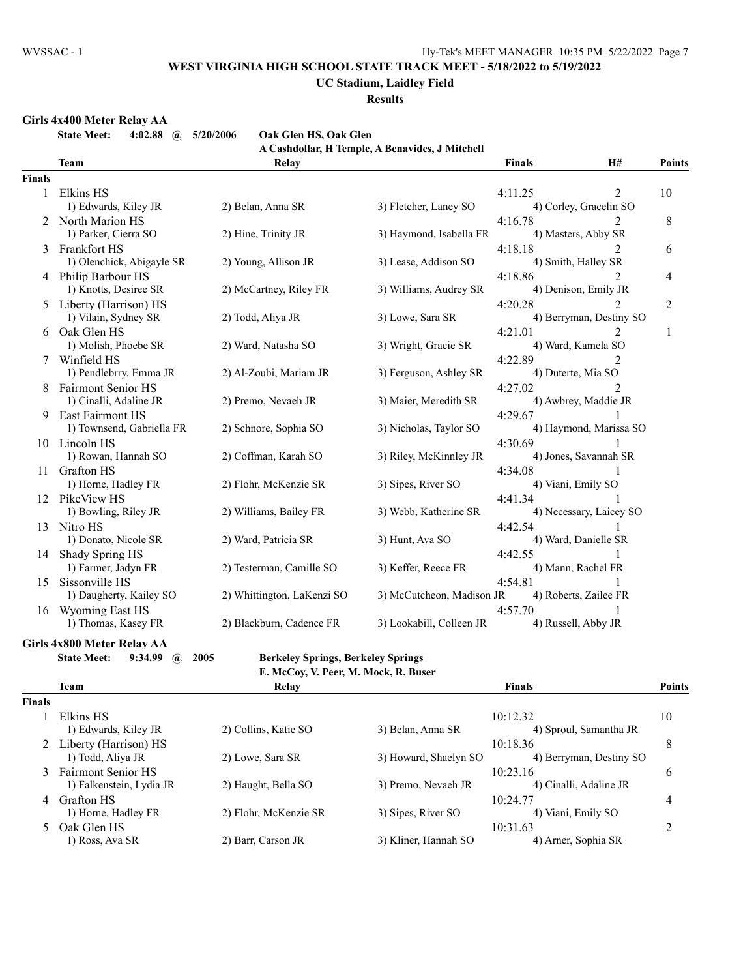#### **UC Stadium, Laidley Field**

**Results**

#### **Girls 4x400 Meter Relay AA**

**State Meet: 4:02.88 @ 5/20/2006 Oak Glen HS, Oak Glen**

**A Cashdollar, H Temple, A Benavides, J Mitchell**

|               |                                                     |                            | А Самионат, 11 тетріс, А бенатися, 9 тисяси |                                   |                              |                |
|---------------|-----------------------------------------------------|----------------------------|---------------------------------------------|-----------------------------------|------------------------------|----------------|
|               | <b>Team</b>                                         | Relay                      |                                             | <b>Finals</b>                     | H#                           | Points         |
| <b>Finals</b> |                                                     |                            |                                             |                                   |                              |                |
| 1             | Elkins HS<br>1) Edwards, Kiley JR                   | 2) Belan, Anna SR          | 3) Fletcher, Laney SO                       | 4:11.25<br>4) Corley, Gracelin SO | 2                            | 10             |
|               | 2 North Marion HS<br>1) Parker, Cierra SO           | 2) Hine, Trinity JR        | 3) Haymond, Isabella FR                     | 4:16.78<br>4) Masters, Abby SR    | $\mathfrak{D}$               | 8              |
| 3             | Frankfort HS<br>1) Olenchick, Abigayle SR           | 2) Young, Allison JR       | 3) Lease, Addison SO                        | 4:18.18<br>4) Smith, Halley SR    |                              | 6              |
|               | 4 Philip Barbour HS<br>1) Knotts, Desiree SR        | 2) McCartney, Riley FR     | 3) Williams, Audrey SR                      | 4:18.86<br>4) Denison, Emily JR   | $\mathfrak{D}$               | 4              |
|               | 5 Liberty (Harrison) HS<br>1) Vilain, Sydney SR     | 2) Todd, Aliya JR          | 3) Lowe, Sara SR                            | 4:20.28                           | 2<br>4) Berryman, Destiny SO | $\overline{2}$ |
| 6             | Oak Glen HS<br>1) Molish, Phoebe SR                 | 2) Ward, Natasha SO        | 3) Wright, Gracie SR                        | 4:21.01<br>4) Ward, Kamela SO     | 2                            | 1              |
|               | Winfield HS<br>1) Pendlebrry, Emma JR               | 2) Al-Zoubi, Mariam JR     | 3) Ferguson, Ashley SR                      | 4:22.89<br>4) Duterte, Mia SO     | 2                            |                |
| 8             | <b>Fairmont Senior HS</b><br>1) Cinalli, Adaline JR | 2) Premo, Nevaeh JR        | 3) Maier, Meredith SR                       | 4:27.02<br>4) Awbrey, Maddie JR   | $\mathfrak{D}$               |                |
| 9             | East Fairmont HS<br>1) Townsend, Gabriella FR       | 2) Schnore, Sophia SO      | 3) Nicholas, Taylor SO                      | 4:29.67                           | 4) Haymond, Marissa SO       |                |
|               | 10 Lincoln HS<br>1) Rowan, Hannah SO                | 2) Coffman, Karah SO       | 3) Riley, McKinnley JR                      | 4:30.69<br>4) Jones, Savannah SR  |                              |                |
| 11            | <b>Grafton HS</b>                                   |                            |                                             | 4:34.08                           |                              |                |
|               | 1) Horne, Hadley FR<br>12 PikeView HS               | 2) Flohr, McKenzie SR      | 3) Sipes, River SO                          | 4) Viani, Emily SO<br>4:41.34     |                              |                |
| 13            | 1) Bowling, Riley JR<br>Nitro HS                    | 2) Williams, Bailey FR     | 3) Webb, Katherine SR                       | 4:42.54                           | 4) Necessary, Laicey SO      |                |
| 14            | 1) Donato, Nicole SR<br>Shady Spring HS             | 2) Ward, Patricia SR       | 3) Hunt, Ava SO                             | 4) Ward, Danielle SR<br>4:42.55   |                              |                |
| 15            | 1) Farmer, Jadyn FR<br>Sissonville HS               | 2) Testerman, Camille SO   | 3) Keffer, Reece FR                         | 4) Mann, Rachel FR<br>4:54.81     |                              |                |
|               | 1) Daugherty, Kailey SO<br>16 Wyoming East HS       | 2) Whittington, LaKenzi SO | 3) McCutcheon, Madison JR                   | 4) Roberts, Zailee FR<br>4:57.70  |                              |                |
|               | 1) Thomas, Kasey FR                                 | 2) Blackburn, Cadence FR   | 3) Lookabill, Colleen JR                    | 4) Russell, Abby JR               |                              |                |

### **Girls 4x800 Meter Relay AA**

**State Meet: 9:34.99 @ 2005 Berkeley Springs, Berkeley Springs**

|  | встветсу эргигдэ, вегветсу эргигдэ   |  |
|--|--------------------------------------|--|
|  | E. McCoy, V. Peer, M. Mock, R. Buser |  |

|               | Team                     | Relay                 |                       | <b>Finals</b>           | Points |
|---------------|--------------------------|-----------------------|-----------------------|-------------------------|--------|
| <b>Finals</b> |                          |                       |                       |                         |        |
|               | Elkins HS                |                       |                       | 10:12.32                | 10     |
|               | 1) Edwards, Kiley JR     | 2) Collins, Katie SO  | 3) Belan, Anna SR     | 4) Sproul, Samantha JR  |        |
|               | 2 Liberty (Harrison) HS  |                       |                       | 10:18.36                | 8      |
|               | 1) Todd, Aliya JR        | 2) Lowe, Sara SR      | 3) Howard, Shaelyn SO | 4) Berryman, Destiny SO |        |
|               | 3 Fairmont Senior HS     |                       |                       | 10:23.16                | 6      |
|               | 1) Falkenstein, Lydia JR | 2) Haught, Bella SO   | 3) Premo, Nevaeh JR   | 4) Cinalli, Adaline JR  |        |
| 4             | <b>Grafton HS</b>        |                       |                       | 10:24.77                | 4      |
|               | 1) Horne, Hadley FR      | 2) Flohr, McKenzie SR | 3) Sipes, River SO    | 4) Viani, Emily SO      |        |
| 5.            | Oak Glen HS              |                       |                       | 10:31.63                |        |
|               | 1) Ross, Ava SR          | 2) Barr, Carson JR    | 3) Kliner, Hannah SO  | 4) Arner, Sophia SR     |        |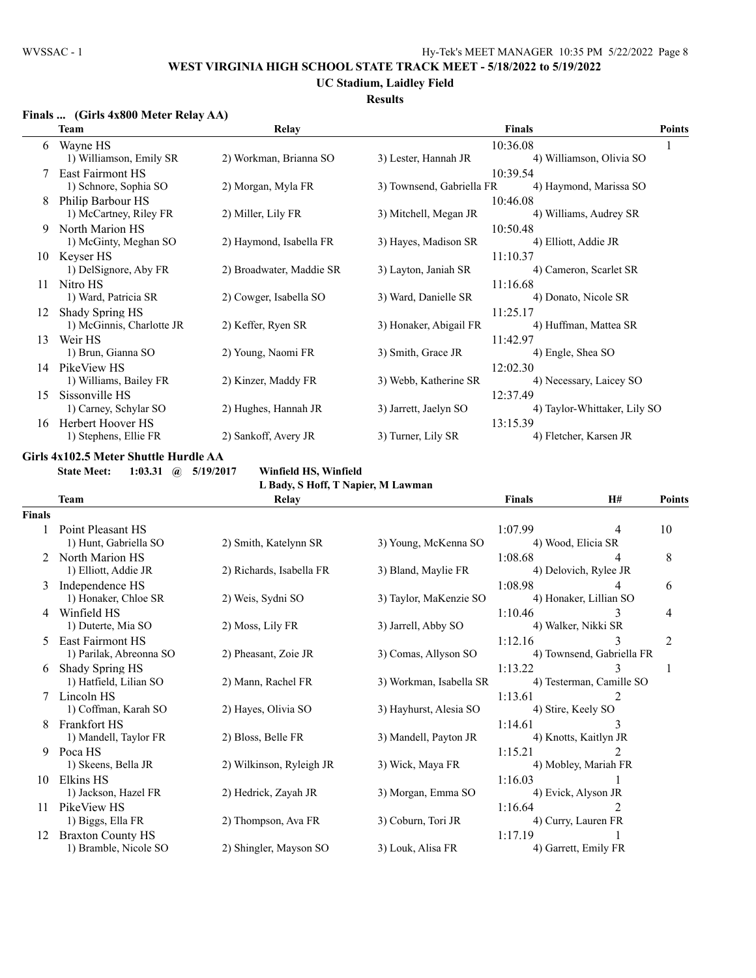# **UC Stadium, Laidley Field**

# **Results**

### **Finals ... (Girls 4x800 Meter Relay AA)**

|    | Team                      | Relay                    |                           | <b>Finals</b>                | <b>Points</b> |
|----|---------------------------|--------------------------|---------------------------|------------------------------|---------------|
| 6  | Wayne HS                  |                          |                           | 10:36.08                     |               |
|    | 1) Williamson, Emily SR   | 2) Workman, Brianna SO   | 3) Lester, Hannah JR      | 4) Williamson, Olivia SO     |               |
|    | East Fairmont HS          |                          |                           | 10:39.54                     |               |
|    | 1) Schnore, Sophia SO     | 2) Morgan, Myla FR       | 3) Townsend, Gabriella FR | 4) Haymond, Marissa SO       |               |
|    | Philip Barbour HS         |                          |                           | 10:46.08                     |               |
|    | 1) McCartney, Riley FR    | 2) Miller, Lily FR       | 3) Mitchell, Megan JR     | 4) Williams, Audrey SR       |               |
| 9  | North Marion HS           |                          |                           | 10:50.48                     |               |
|    | 1) McGinty, Meghan SO     | 2) Haymond, Isabella FR  | 3) Hayes, Madison SR      | 4) Elliott, Addie JR         |               |
| 10 | Kevser HS                 |                          |                           | 11:10.37                     |               |
|    | 1) DelSignore, Aby FR     | 2) Broadwater, Maddie SR | 3) Layton, Janiah SR      | 4) Cameron, Scarlet SR       |               |
| 11 | Nitro HS                  |                          |                           | 11:16.68                     |               |
|    | 1) Ward, Patricia SR      | 2) Cowger, Isabella SO   | 3) Ward, Danielle SR      | 4) Donato, Nicole SR         |               |
| 12 | Shady Spring HS           |                          |                           | 11:25.17                     |               |
|    | 1) McGinnis, Charlotte JR | 2) Keffer, Ryen SR       | 3) Honaker, Abigail FR    | 4) Huffman, Mattea SR        |               |
| 13 | Weir HS                   |                          |                           | 11:42.97                     |               |
|    | 1) Brun, Gianna SO        | 2) Young, Naomi FR       | 3) Smith, Grace JR        | 4) Engle, Shea SO            |               |
| 14 | PikeView HS               |                          |                           | 12:02.30                     |               |
|    | 1) Williams, Bailey FR    | 2) Kinzer, Maddy FR      | 3) Webb, Katherine SR     | 4) Necessary, Laicey SO      |               |
| 15 | Sissonville HS            |                          |                           | 12:37.49                     |               |
|    | 1) Carney, Schylar SO     | 2) Hughes, Hannah JR     | 3) Jarrett, Jaelyn SO     | 4) Taylor-Whittaker, Lily SO |               |
| 16 | Herbert Hoover HS         |                          |                           | 13:15.39                     |               |
|    | 1) Stephens, Ellie FR     | 2) Sankoff, Avery JR     | 3) Turner, Lily SR        | 4) Fletcher, Karsen JR       |               |

### **Girls 4x102.5 Meter Shuttle Hurdle AA**

**State Meet: 1:03.31 @ 5/19/2017 Winfield HS, Winfield**

|               |                          | L Bady, S Hoff, T Napier, M Lawman |                         |                           |                             |               |
|---------------|--------------------------|------------------------------------|-------------------------|---------------------------|-----------------------------|---------------|
|               | <b>Team</b>              | Relay                              |                         | <b>Finals</b>             | H#                          | <b>Points</b> |
| <b>Finals</b> |                          |                                    |                         |                           |                             |               |
|               | Point Pleasant HS        |                                    |                         | 1:07.99                   | 4                           | 10            |
|               | 1) Hunt, Gabriella SO    | 2) Smith, Katelynn SR              | 3) Young, McKenna SO    | 4) Wood, Elicia SR        |                             |               |
|               | 2 North Marion HS        |                                    |                         | 1:08.68                   | 4                           | 8             |
|               | 1) Elliott, Addie JR     | 2) Richards, Isabella FR           | 3) Bland, Maylie FR     | 4) Delovich, Rylee JR     |                             |               |
|               | 3 Independence HS        |                                    |                         | 1:08.98                   | 4                           | 6             |
|               | 1) Honaker, Chloe SR     | 2) Weis, Sydni SO                  | 3) Taylor, MaKenzie SO  |                           | 4) Honaker, Lillian SO      |               |
| 4             | Winfield HS              |                                    |                         | 1:10.46                   | 3                           | 4             |
|               | 1) Duterte, Mia SO       | 2) Moss, Lily FR                   | 3) Jarrell, Abby SO     | 4) Walker, Nikki SR       |                             |               |
| 5             | <b>East Fairmont HS</b>  |                                    |                         | 1:12.16                   | 3                           | 2             |
|               | 1) Parilak, Abreonna SO  | 2) Pheasant, Zoie JR               | 3) Comas, Allyson SO    | 4) Townsend, Gabriella FR |                             |               |
| 6             | Shady Spring HS          |                                    |                         | 1:13.22                   | 3                           |               |
|               | 1) Hatfield, Lilian SO   | 2) Mann, Rachel FR                 | 3) Workman, Isabella SR |                           | 4) Testerman, Camille SO    |               |
|               | Lincoln HS               |                                    |                         | 1:13.61                   | 2                           |               |
|               | 1) Coffman, Karah SO     | 2) Hayes, Olivia SO                | 3) Hayhurst, Alesia SO  | 4) Stire, Keely SO        |                             |               |
| 8             | Frankfort HS             |                                    |                         | 1:14.61                   | 3                           |               |
|               | 1) Mandell, Taylor FR    | 2) Bloss, Belle FR                 | 3) Mandell, Payton JR   | 4) Knotts, Kaitlyn JR     |                             |               |
| 9             | Poca HS                  |                                    |                         | 1:15.21                   | $\mathcal{D}_{\mathcal{L}}$ |               |
|               | 1) Skeens, Bella JR      | 2) Wilkinson, Ryleigh JR           | 3) Wick, Maya FR        |                           | 4) Mobley, Mariah FR        |               |
| 10            | Elkins HS                |                                    |                         | 1:16.03                   |                             |               |
|               | 1) Jackson, Hazel FR     | 2) Hedrick, Zayah JR               | 3) Morgan, Emma SO      | 4) Evick, Alyson JR       |                             |               |
| 11            | PikeView HS              |                                    |                         | 1:16.64                   |                             |               |
|               | 1) Biggs, Ella FR        | 2) Thompson, Ava FR                | 3) Coburn, Tori JR      | 4) Curry, Lauren FR       |                             |               |
| 12            | <b>Braxton County HS</b> |                                    |                         | 1:17.19                   |                             |               |
|               | 1) Bramble, Nicole SO    | 2) Shingler, Mayson SO             | 3) Louk, Alisa FR       |                           | 4) Garrett, Emily FR        |               |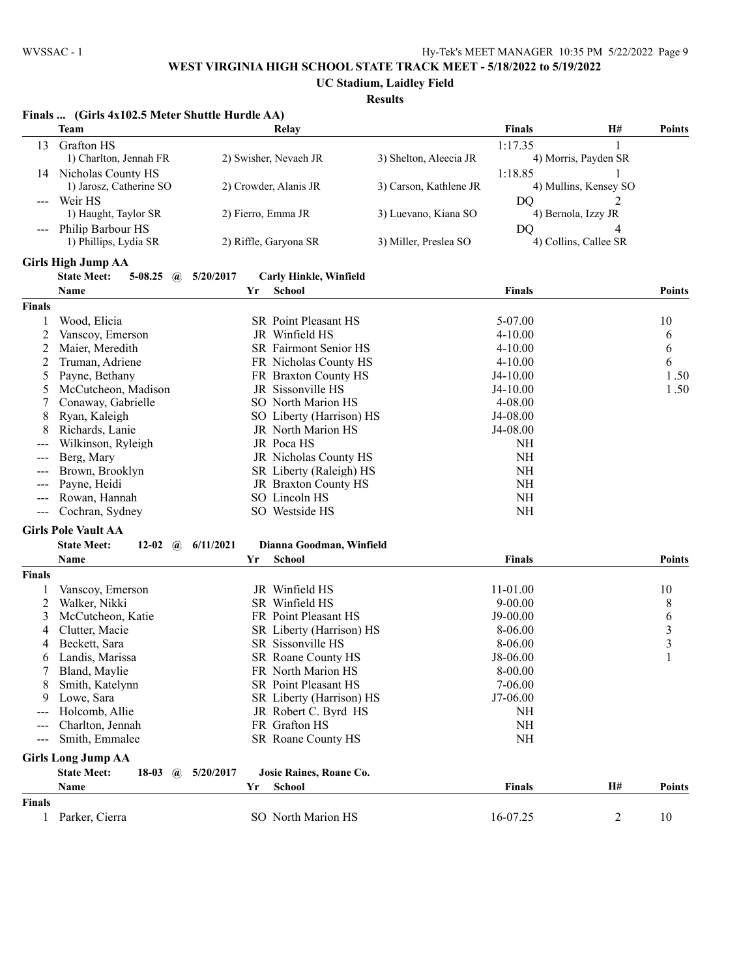**UC Stadium, Laidley Field**

|                     | Finals  (Girls 4x102.5 Meter Shuttle Hurdle AA) |           |    |                                                |                        |                       |                       |               |
|---------------------|-------------------------------------------------|-----------|----|------------------------------------------------|------------------------|-----------------------|-----------------------|---------------|
|                     | <b>Team</b>                                     |           |    | Relav                                          |                        | <b>Finals</b>         | Н#                    | <b>Points</b> |
| 13                  | Grafton HS                                      |           |    |                                                |                        | 1:17.35               | 1                     |               |
|                     | 1) Charlton, Jennah FR                          |           |    | 2) Swisher, Nevaeh JR                          | 3) Shelton, Aleecia JR |                       | 4) Morris, Payden SR  |               |
|                     | 14 Nicholas County HS                           |           |    |                                                |                        | 1:18.85               | 1                     |               |
|                     | 1) Jarosz, Catherine SO                         |           |    | 2) Crowder, Alanis JR                          | 3) Carson, Kathlene JR |                       | 4) Mullins, Kensey SO |               |
|                     | Weir HS                                         |           |    |                                                |                        | DQ                    | 2                     |               |
|                     | 1) Haught, Taylor SR                            |           |    | 2) Fierro, Emma JR                             | 3) Luevano, Kiana SO   |                       | 4) Bernola, Izzy JR   |               |
|                     | Philip Barbour HS                               |           |    |                                                |                        | DQ                    | 4                     |               |
|                     | 1) Phillips, Lydia SR                           |           |    | 2) Riffle, Garyona SR                          | 3) Miller, Preslea SO  |                       | 4) Collins, Callee SR |               |
|                     | <b>Girls High Jump AA</b>                       |           |    |                                                |                        |                       |                       |               |
|                     | <b>State Meet:</b><br>$5 - 08.25$<br>(a)        | 5/20/2017 |    | <b>Carly Hinkle, Winfield</b>                  |                        |                       |                       |               |
|                     | Name                                            |           | Yr | School                                         |                        | <b>Finals</b>         |                       | <b>Points</b> |
|                     |                                                 |           |    |                                                |                        |                       |                       |               |
| <b>Finals</b>       |                                                 |           |    |                                                |                        |                       |                       |               |
|                     | Wood, Elicia                                    |           |    | SR Point Pleasant HS                           |                        | 5-07.00               |                       | 10            |
| 2                   | Vanscoy, Emerson                                |           |    | JR Winfield HS                                 |                        | $4 - 10.00$           |                       | 6             |
| 2                   | Maier, Meredith                                 |           |    | SR Fairmont Senior HS<br>FR Nicholas County HS |                        | $4 - 10.00$           |                       | 6             |
| 2                   | Truman, Adriene                                 |           |    |                                                |                        | $4 - 10.00$           |                       | 6             |
| 5                   | Payne, Bethany                                  |           |    | FR Braxton County HS<br>JR Sissonville HS      |                        | $J4-10.00$            |                       | 1.50<br>1.50  |
| 5                   | McCutcheon, Madison<br>Conaway, Gabrielle       |           |    | SO North Marion HS                             |                        | $J4-10.00$<br>4-08.00 |                       |               |
| 7                   | Ryan, Kaleigh                                   |           |    |                                                |                        |                       |                       |               |
| 8<br>8              | Richards, Lanie                                 |           |    | SO Liberty (Harrison) HS<br>JR North Marion HS |                        | J4-08.00<br>J4-08.00  |                       |               |
|                     | Wilkinson, Ryleigh                              |           |    | JR Poca HS                                     |                        | NH                    |                       |               |
|                     | Berg, Mary                                      |           |    | JR Nicholas County HS                          |                        | <b>NH</b>             |                       |               |
|                     | Brown, Brooklyn                                 |           |    | SR Liberty (Raleigh) HS                        |                        | <b>NH</b>             |                       |               |
| $--$                | Payne, Heidi                                    |           |    | JR Braxton County HS                           |                        | NH                    |                       |               |
|                     | Rowan, Hannah                                   |           |    | SO Lincoln HS                                  |                        | NH                    |                       |               |
| $\qquad \qquad - -$ | Cochran, Sydney                                 |           |    | SO Westside HS                                 |                        | NH                    |                       |               |
|                     |                                                 |           |    |                                                |                        |                       |                       |               |
|                     | <b>Girls Pole Vault AA</b>                      |           |    |                                                |                        |                       |                       |               |
|                     | <b>State Meet:</b><br>12-02 $\omega$            | 6/11/2021 |    | Dianna Goodman, Winfield                       |                        |                       |                       |               |
|                     | Name                                            |           | Yr | School                                         |                        | <b>Finals</b>         |                       | <b>Points</b> |
| <b>Finals</b>       |                                                 |           |    |                                                |                        |                       |                       |               |
|                     | Vanscoy, Emerson                                |           |    | JR Winfield HS                                 |                        | 11-01.00              |                       | 10            |
| 2                   | Walker, Nikki                                   |           |    | SR Winfield HS                                 |                        | $9 - 00.00$           |                       | 8             |
| 3                   | McCutcheon, Katie                               |           |    | FR Point Pleasant HS                           |                        | $J9-00.00$            |                       | 6             |
| 4                   | Clutter, Macie                                  |           |    | SR Liberty (Harrison) HS                       |                        | 8-06.00               |                       | $\frac{3}{3}$ |
| 4                   | Beckett, Sara                                   |           |    | SR Sissonville HS                              |                        | 8-06.00               |                       |               |
| 6                   | Landis, Marissa                                 |           |    | SR Roane County HS                             |                        | J8-06.00              |                       | $\mathbf{1}$  |
|                     | Bland, Maylie                                   |           |    | FR North Marion HS                             |                        | 8-00.00               |                       |               |
|                     | Smith, Katelynn                                 |           |    | SR Point Pleasant HS                           |                        | $7 - 06.00$           |                       |               |
| 9.                  | Lowe, Sara                                      |           |    | SR Liberty (Harrison) HS                       |                        | $J7-06.00$            |                       |               |
|                     | Holcomb, Allie                                  |           |    | JR Robert C. Byrd HS                           |                        | <b>NH</b>             |                       |               |
| $---$               | Charlton, Jennah                                |           |    | FR Grafton HS                                  |                        | <b>NH</b>             |                       |               |
| $---$               | Smith, Emmalee                                  |           |    | SR Roane County HS                             |                        | <b>NH</b>             |                       |               |
|                     | <b>Girls Long Jump AA</b>                       |           |    |                                                |                        |                       |                       |               |
|                     | <b>State Meet:</b><br>$18-03$<br>$\mathbf{a}$   | 5/20/2017 |    | Josie Raines, Roane Co.                        |                        |                       |                       |               |
|                     | Name                                            |           | Yr | <b>School</b>                                  |                        | <b>Finals</b>         | H#                    | <b>Points</b> |
| <b>Finals</b>       |                                                 |           |    |                                                |                        |                       |                       |               |
|                     | 1 Parker, Cierra                                |           |    | SO North Marion HS                             |                        | 16-07.25              | $\overline{c}$        | 10            |
|                     |                                                 |           |    |                                                |                        |                       |                       |               |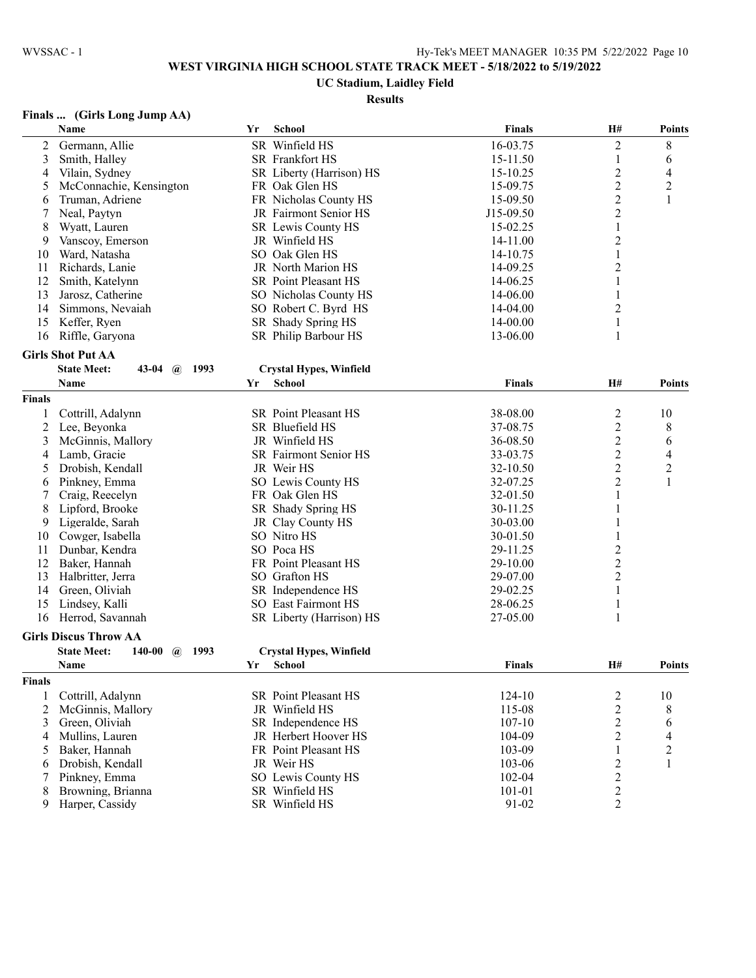# **UC Stadium, Laidley Field**

# **Results**

## **Finals ... (Girls Long Jump AA)**

|                | Name                                                 | Yr | <b>School</b>                  | <b>Finals</b> | H#                      | <b>Points</b>  |
|----------------|------------------------------------------------------|----|--------------------------------|---------------|-------------------------|----------------|
| 2              | Germann, Allie                                       |    | SR Winfield HS                 | 16-03.75      | $\sqrt{2}$              | 8              |
| 3              | Smith, Halley                                        |    | SR Frankfort HS                | 15-11.50      | 1                       | 6              |
| 4              | Vilain, Sydney                                       |    | SR Liberty (Harrison) HS       | 15-10.25      | $\overline{\mathbf{c}}$ | 4              |
| 5              | McConnachie, Kensington                              |    | FR Oak Glen HS                 | 15-09.75      | $\overline{c}$          | $\overline{c}$ |
| 6              | Truman, Adriene                                      |    | FR Nicholas County HS          | 15-09.50      | $\overline{c}$          | 1              |
| 7              | Neal, Paytyn                                         |    | JR Fairmont Senior HS          | J15-09.50     | $\overline{c}$          |                |
| 8              | Wyatt, Lauren                                        |    | SR Lewis County HS             | 15-02.25      | 1                       |                |
| 9              | Vanscoy, Emerson                                     |    | JR Winfield HS                 | 14-11.00      | $\overline{c}$          |                |
| 10             | Ward, Natasha                                        |    | SO Oak Glen HS                 | 14-10.75      |                         |                |
| 11             | Richards, Lanie                                      |    | JR North Marion HS             | 14-09.25      | $\overline{c}$          |                |
| 12             | Smith, Katelynn                                      |    | SR Point Pleasant HS           | 14-06.25      | 1                       |                |
| 13             | Jarosz, Catherine                                    |    | SO Nicholas County HS          | 14-06.00      | 1                       |                |
| 14             | Simmons, Nevaiah                                     |    | SO Robert C. Byrd HS           | 14-04.00      | $\overline{c}$          |                |
| 15             | Keffer, Ryen                                         |    | SR Shady Spring HS             | 14-00.00      | 1                       |                |
| 16             | Riffle, Garyona                                      |    | SR Philip Barbour HS           | 13-06.00      | 1                       |                |
|                | <b>Girls Shot Put AA</b>                             |    |                                |               |                         |                |
|                | <b>State Meet:</b><br>1993<br>43-04 $\omega$         |    | <b>Crystal Hypes, Winfield</b> |               |                         |                |
|                |                                                      | Yr | School                         |               | <b>H#</b>               | <b>Points</b>  |
|                | Name                                                 |    |                                | <b>Finals</b> |                         |                |
| <b>Finals</b>  |                                                      |    |                                |               |                         |                |
| 1              | Cottrill, Adalynn                                    |    | <b>SR</b> Point Pleasant HS    | 38-08.00      | $\overline{c}$          | 10             |
| 2              | Lee, Beyonka                                         |    | SR Bluefield HS                | 37-08.75      | $\overline{c}$          | 8              |
| 3              | McGinnis, Mallory                                    |    | JR Winfield HS                 | 36-08.50      | $\overline{c}$          | 6              |
| 4              | Lamb, Gracie                                         |    | SR Fairmont Senior HS          | 33-03.75      | 2                       | 4              |
| 5              | Drobish, Kendall                                     |    | JR Weir HS                     | 32-10.50      | $\overline{c}$          | $\overline{c}$ |
| 6              | Pinkney, Emma                                        |    | SO Lewis County HS             | 32-07.25      | 2                       | $\mathbf{1}$   |
| 7              | Craig, Reecelyn                                      |    | FR Oak Glen HS                 | 32-01.50      | 1                       |                |
| 8              | Lipford, Brooke                                      |    | SR Shady Spring HS             | 30-11.25      | 1                       |                |
| 9              | Ligeralde, Sarah                                     |    | JR Clay County HS              | 30-03.00      |                         |                |
| 10             | Cowger, Isabella                                     |    | SO Nitro HS                    | 30-01.50      |                         |                |
| 11             | Dunbar, Kendra                                       |    | SO Poca HS                     | 29-11.25      | 2                       |                |
| 12             | Baker, Hannah                                        |    | FR Point Pleasant HS           | 29-10.00      | $\overline{c}$          |                |
| 13             | Halbritter, Jerra                                    |    | SO Grafton HS                  | 29-07.00      | $\overline{c}$          |                |
| 14             | Green, Oliviah                                       |    | SR Independence HS             | 29-02.25      | 1                       |                |
| 15             | Lindsey, Kalli                                       |    | SO East Fairmont HS            | 28-06.25      | 1                       |                |
| 16             | Herrod, Savannah                                     |    | SR Liberty (Harrison) HS       | 27-05.00      | 1                       |                |
|                | <b>Girls Discus Throw AA</b>                         |    |                                |               |                         |                |
|                | <b>State Meet:</b><br>140-00<br>1993<br>$\mathbf{a}$ |    | <b>Crystal Hypes, Winfield</b> |               |                         |                |
|                | Name                                                 | Yr | School                         | Finals        | <b>H#</b>               | <b>Points</b>  |
| Finals         |                                                      |    |                                |               |                         |                |
| 1              | Cottrill, Adalynn                                    |    | SR Point Pleasant HS           | 124-10        | $\overline{2}$          | 10             |
| $\overline{c}$ | McGinnis, Mallory                                    |    | JR Winfield HS                 | 115-08        | $\overline{\mathbf{c}}$ | 8              |
| 3              | Green, Oliviah                                       |    | SR Independence HS             | $107 - 10$    | $\overline{\mathbf{c}}$ | 6              |
| 4              | Mullins, Lauren                                      |    | JR Herbert Hoover HS           | 104-09        | $\overline{c}$          | 4              |
| 5              | Baker, Hannah                                        |    | FR Point Pleasant HS           | 103-09        | 1                       | $\overline{c}$ |
| 6              | Drobish, Kendall                                     |    | JR Weir HS                     | 103-06        | $\overline{c}$          | 1              |
| 7              | Pinkney, Emma                                        |    | SO Lewis County HS             | 102-04        | $\boldsymbol{2}$        |                |
| 8              | Browning, Brianna                                    |    | SR Winfield HS                 | $101 - 01$    | $\sqrt{2}$              |                |
| 9              | Harper, Cassidy                                      |    | SR Winfield HS                 | 91-02         | $\overline{2}$          |                |
|                |                                                      |    |                                |               |                         |                |